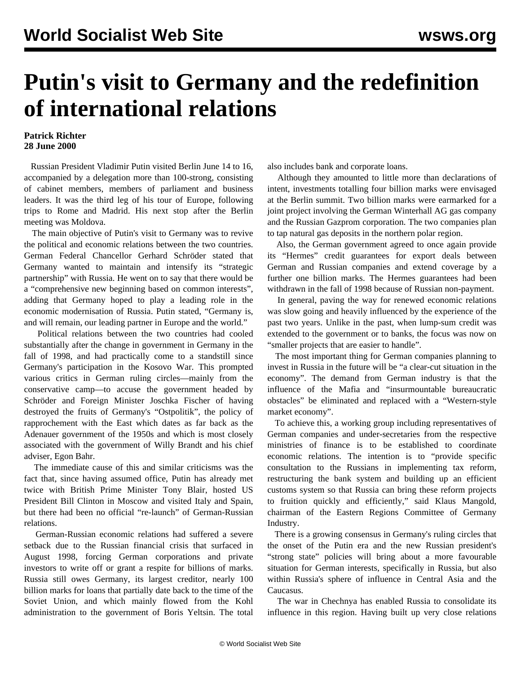## **Putin's visit to Germany and the redefinition of international relations**

## **Patrick Richter 28 June 2000**

 Russian President Vladimir Putin visited Berlin June 14 to 16, accompanied by a delegation more than 100-strong, consisting of cabinet members, members of parliament and business leaders. It was the third leg of his tour of Europe, following trips to Rome and Madrid. His next stop after the Berlin meeting was Moldova.

 The main objective of Putin's visit to Germany was to revive the political and economic relations between the two countries. German Federal Chancellor Gerhard Schröder stated that Germany wanted to maintain and intensify its "strategic partnership" with Russia. He went on to say that there would be a "comprehensive new beginning based on common interests", adding that Germany hoped to play a leading role in the economic modernisation of Russia. Putin stated, "Germany is, and will remain, our leading partner in Europe and the world."

 Political relations between the two countries had cooled substantially after the change in government in Germany in the fall of 1998, and had practically come to a standstill since Germany's participation in the Kosovo War. This prompted various critics in German ruling circles—mainly from the conservative camp—to accuse the government headed by Schröder and Foreign Minister Joschka Fischer of having destroyed the fruits of Germany's "Ostpolitik", the policy of rapprochement with the East which dates as far back as the Adenauer government of the 1950s and which is most closely associated with the government of Willy Brandt and his chief adviser, Egon Bahr.

 The immediate cause of this and similar criticisms was the fact that, since having assumed office, Putin has already met twice with British Prime Minister Tony Blair, hosted US President Bill Clinton in Moscow and visited Italy and Spain, but there had been no official "re-launch" of German-Russian relations.

 German-Russian economic relations had suffered a severe setback due to the Russian financial crisis that surfaced in August 1998, forcing German corporations and private investors to write off or grant a respite for billions of marks. Russia still owes Germany, its largest creditor, nearly 100 billion marks for loans that partially date back to the time of the Soviet Union, and which mainly flowed from the Kohl administration to the government of Boris Yeltsin. The total also includes bank and corporate loans.

 Although they amounted to little more than declarations of intent, investments totalling four billion marks were envisaged at the Berlin summit. Two billion marks were earmarked for a joint project involving the German Winterhall AG gas company and the Russian Gazprom corporation. The two companies plan to tap natural gas deposits in the northern polar region.

 Also, the German government agreed to once again provide its "Hermes" credit guarantees for export deals between German and Russian companies and extend coverage by a further one billion marks. The Hermes guarantees had been withdrawn in the fall of 1998 because of Russian non-payment.

 In general, paving the way for renewed economic relations was slow going and heavily influenced by the experience of the past two years. Unlike in the past, when lump-sum credit was extended to the government or to banks, the focus was now on "smaller projects that are easier to handle".

 The most important thing for German companies planning to invest in Russia in the future will be "a clear-cut situation in the economy". The demand from German industry is that the influence of the Mafia and "insurmountable bureaucratic obstacles" be eliminated and replaced with a "Western-style market economy".

 To achieve this, a working group including representatives of German companies and under-secretaries from the respective ministries of finance is to be established to coordinate economic relations. The intention is to "provide specific consultation to the Russians in implementing tax reform, restructuring the bank system and building up an efficient customs system so that Russia can bring these reform projects to fruition quickly and efficiently," said Klaus Mangold, chairman of the Eastern Regions Committee of Germany Industry.

 There is a growing consensus in Germany's ruling circles that the onset of the Putin era and the new Russian president's "strong state" policies will bring about a more favourable situation for German interests, specifically in Russia, but also within Russia's sphere of influence in Central Asia and the Caucasus.

 The war in Chechnya has enabled Russia to consolidate its influence in this region. Having built up very close relations